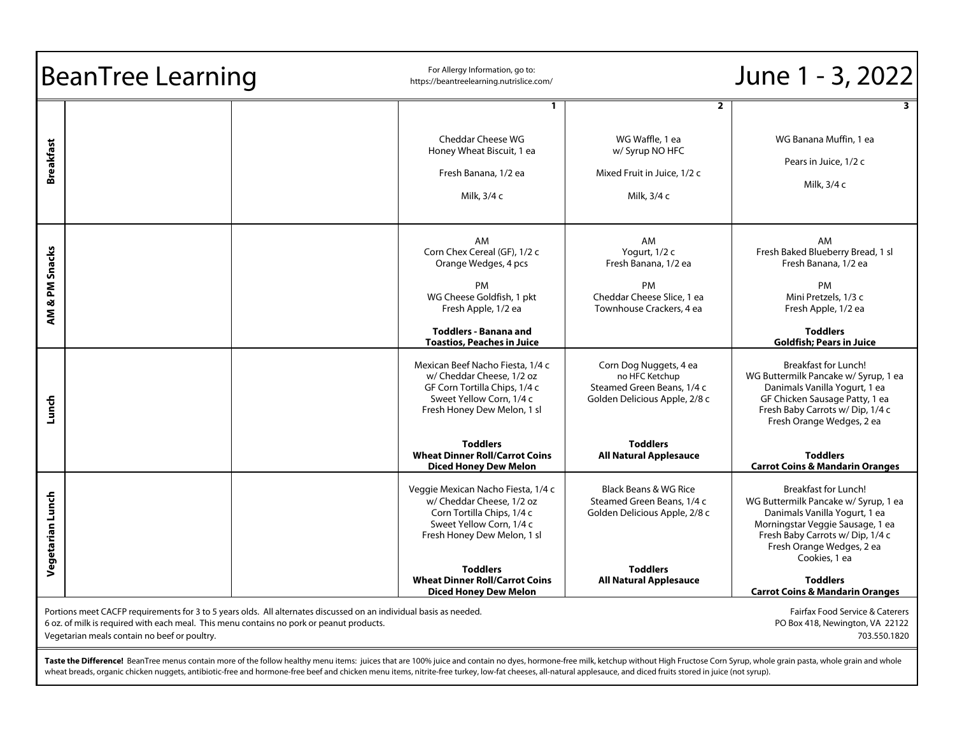| <b>BeanTree Learning</b>                                                                                                                                                                                                                                                                                                                             |  | For Allergy Information, go to:<br>https://beantreelearning.nutrislice.com/                                                                                                                                                                                                                                                                                                                                                      | June 1 - 3, 2022                                                                                                                                                                                                                                                                                                                         |  |
|------------------------------------------------------------------------------------------------------------------------------------------------------------------------------------------------------------------------------------------------------------------------------------------------------------------------------------------------------|--|----------------------------------------------------------------------------------------------------------------------------------------------------------------------------------------------------------------------------------------------------------------------------------------------------------------------------------------------------------------------------------------------------------------------------------|------------------------------------------------------------------------------------------------------------------------------------------------------------------------------------------------------------------------------------------------------------------------------------------------------------------------------------------|--|
| <b>Breakfast</b>                                                                                                                                                                                                                                                                                                                                     |  | $\overline{2}$<br>1<br><b>Cheddar Cheese WG</b><br>WG Waffle, 1 ea<br>Honey Wheat Biscuit, 1 ea<br>w/ Syrup NO HFC<br>Fresh Banana, 1/2 ea<br>Mixed Fruit in Juice, 1/2 c<br>Milk, 3/4 c<br>Milk, 3/4 c                                                                                                                                                                                                                          | 3<br>WG Banana Muffin, 1 ea<br>Pears in Juice, 1/2 c<br>Milk, 3/4 c                                                                                                                                                                                                                                                                      |  |
| AM & PM Snacks                                                                                                                                                                                                                                                                                                                                       |  | AM<br>AM<br>Corn Chex Cereal (GF), 1/2 c<br>Yogurt, 1/2 c<br>Fresh Banana, 1/2 ea<br>Orange Wedges, 4 pcs<br>PM<br><b>PM</b><br>WG Cheese Goldfish, 1 pkt<br>Cheddar Cheese Slice, 1 ea<br>Townhouse Crackers, 4 ea<br>Fresh Apple, 1/2 ea<br><b>Toddlers - Banana and</b><br><b>Toastios, Peaches in Juice</b>                                                                                                                  | AM<br>Fresh Baked Blueberry Bread, 1 sl<br>Fresh Banana, 1/2 ea<br>PM<br>Mini Pretzels, 1/3 c<br>Fresh Apple, 1/2 ea<br><b>Toddlers</b><br><b>Goldfish; Pears in Juice</b>                                                                                                                                                               |  |
| Lunch                                                                                                                                                                                                                                                                                                                                                |  | Mexican Beef Nacho Fiesta, 1/4 c<br>Corn Dog Nuggets, 4 ea<br>w/ Cheddar Cheese, 1/2 oz<br>no HFC Ketchup<br>GF Corn Tortilla Chips, 1/4 c<br>Steamed Green Beans, 1/4 c<br>Sweet Yellow Corn, 1/4 c<br>Golden Delicious Apple, 2/8 c<br>Fresh Honey Dew Melon, 1 sl<br><b>Toddlers</b><br><b>Toddlers</b><br><b>Wheat Dinner Roll/Carrot Coins</b><br><b>All Natural Applesauce</b>                                             | <b>Breakfast for Lunch!</b><br>WG Buttermilk Pancake w/ Syrup, 1 ea<br>Danimals Vanilla Yogurt, 1 ea<br>GF Chicken Sausage Patty, 1 ea<br>Fresh Baby Carrots w/Dip, 1/4 c<br>Fresh Orange Wedges, 2 ea<br><b>Toddlers</b>                                                                                                                |  |
| Vegetarian Lunch                                                                                                                                                                                                                                                                                                                                     |  | <b>Diced Honey Dew Melon</b><br>Black Beans & WG Rice<br>Veggie Mexican Nacho Fiesta, 1/4 c<br>w/ Cheddar Cheese, 1/2 oz<br>Steamed Green Beans, 1/4 c<br>Corn Tortilla Chips, 1/4 c<br>Golden Delicious Apple, 2/8 c<br>Sweet Yellow Corn, 1/4 c<br>Fresh Honey Dew Melon, 1 sl<br><b>Toddlers</b><br><b>Toddlers</b><br><b>Wheat Dinner Roll/Carrot Coins</b><br><b>All Natural Applesauce</b><br><b>Diced Honey Dew Melon</b> | <b>Carrot Coins &amp; Mandarin Oranges</b><br><b>Breakfast for Lunch!</b><br>WG Buttermilk Pancake w/ Syrup, 1 ea<br>Danimals Vanilla Yogurt, 1 ea<br>Morningstar Veggie Sausage, 1 ea<br>Fresh Baby Carrots w/Dip, 1/4 c<br>Fresh Orange Wedges, 2 ea<br>Cookies, 1 ea<br><b>Toddlers</b><br><b>Carrot Coins &amp; Mandarin Oranges</b> |  |
| Portions meet CACFP requirements for 3 to 5 years olds. All alternates discussed on an individual basis as needed.<br>Fairfax Food Service & Caterers<br>6 oz. of milk is required with each meal. This menu contains no pork or peanut products.<br>PO Box 418, Newington, VA 22122<br>Vegetarian meals contain no beef or poultry.<br>703.550.1820 |  |                                                                                                                                                                                                                                                                                                                                                                                                                                  |                                                                                                                                                                                                                                                                                                                                          |  |

**Taste the Difference!** BeanTree menus contain more of the follow healthy menu items: juices that are 100% juice and contain no dyes, hormone-free milk, ketchup without High Fructose Corn Syrup, whole grain pasta, whole gr wheat breads, organic chicken nuggets, antibiotic-free and hormone-free beef and chicken menu items, nitrite-free turkey, low-fat cheeses, all-natural applesauce, and diced fruits stored in juice (not syrup).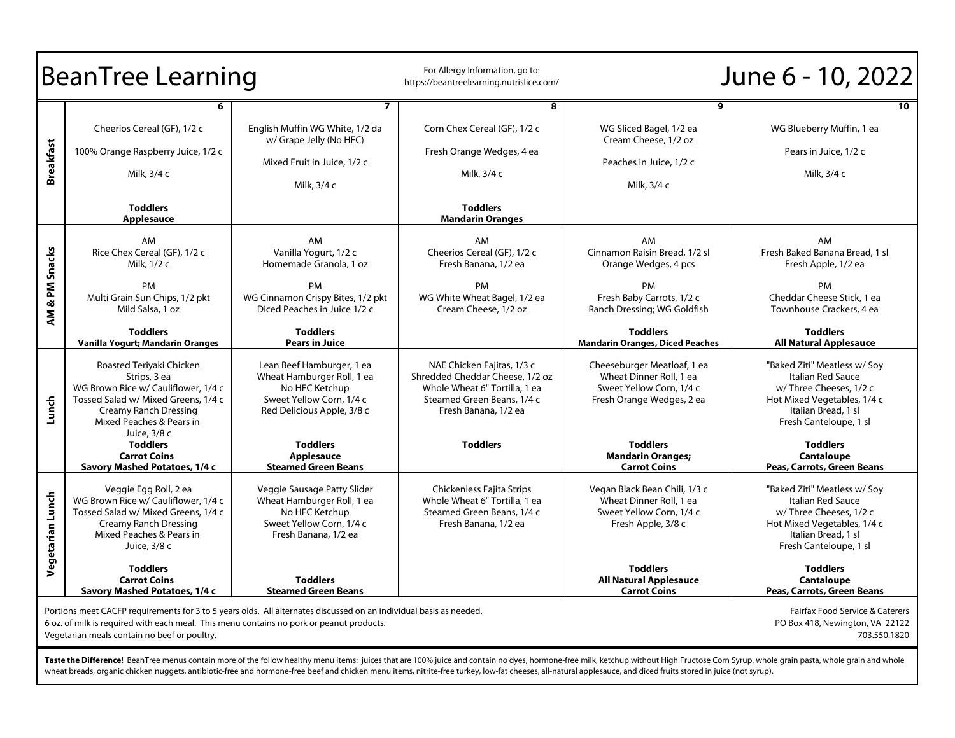| <b>BeanTree Learning</b>                                                                                                                                                                                                                                                                                                                             |                                                                                                                                                                                             | For Allergy Information, go to:<br>https://beantreelearning.nutrislice.com/                                                         |                                                                                                                                                      | June 6 - 10, 2022                                                                                                              |                                                                                                                                                             |
|------------------------------------------------------------------------------------------------------------------------------------------------------------------------------------------------------------------------------------------------------------------------------------------------------------------------------------------------------|---------------------------------------------------------------------------------------------------------------------------------------------------------------------------------------------|-------------------------------------------------------------------------------------------------------------------------------------|------------------------------------------------------------------------------------------------------------------------------------------------------|--------------------------------------------------------------------------------------------------------------------------------|-------------------------------------------------------------------------------------------------------------------------------------------------------------|
| <b>Breakfast</b>                                                                                                                                                                                                                                                                                                                                     | Cheerios Cereal (GF), 1/2 c<br>100% Orange Raspberry Juice, 1/2 c<br>Milk, 3/4 c<br><b>Toddlers</b>                                                                                         | $\overline{7}$<br>English Muffin WG White, 1/2 da<br>w/ Grape Jelly (No HFC)<br>Mixed Fruit in Juice, 1/2 c<br>Milk, 3/4 c          | 8<br>Corn Chex Cereal (GF), 1/2 c<br>Fresh Orange Wedges, 4 ea<br>Milk, 3/4 c<br><b>Toddlers</b>                                                     | 9<br>WG Sliced Bagel, 1/2 ea<br>Cream Cheese, 1/2 oz<br>Peaches in Juice, 1/2 c<br>Milk, 3/4 c                                 | 10<br>WG Blueberry Muffin, 1 ea<br>Pears in Juice, 1/2 c<br>Milk, 3/4 c                                                                                     |
| & PM Snacks<br>ÄM,                                                                                                                                                                                                                                                                                                                                   | Applesauce<br>AM<br>Rice Chex Cereal (GF), 1/2 c<br>Milk. 1/2 c<br>PM<br>Multi Grain Sun Chips, 1/2 pkt<br>Mild Salsa, 1 oz                                                                 | AM<br>Vanilla Yogurt, 1/2 c<br>Homemade Granola, 1 oz<br>PM<br>WG Cinnamon Crispy Bites, 1/2 pkt<br>Diced Peaches in Juice 1/2 c    | <b>Mandarin Oranges</b><br>AM<br>Cheerios Cereal (GF), 1/2 c<br>Fresh Banana, 1/2 ea<br>PM<br>WG White Wheat Bagel, 1/2 ea<br>Cream Cheese, 1/2 oz   | AM.<br>Cinnamon Raisin Bread, 1/2 sl<br>Orange Wedges, 4 pcs<br>PM<br>Fresh Baby Carrots, 1/2 c<br>Ranch Dressing; WG Goldfish | AM.<br>Fresh Baked Banana Bread, 1 sl<br>Fresh Apple, 1/2 ea<br>PM<br>Cheddar Cheese Stick, 1 ea<br>Townhouse Crackers, 4 ea                                |
|                                                                                                                                                                                                                                                                                                                                                      | <b>Toddlers</b><br>Vanilla Yogurt; Mandarin Oranges                                                                                                                                         | <b>Toddlers</b><br><b>Pears in Juice</b>                                                                                            |                                                                                                                                                      | <b>Toddlers</b><br><b>Mandarin Oranges, Diced Peaches</b>                                                                      | <b>Toddlers</b><br><b>All Natural Applesauce</b>                                                                                                            |
| Lunch                                                                                                                                                                                                                                                                                                                                                | Roasted Teriyaki Chicken<br>Strips, 3 ea<br>WG Brown Rice w/ Cauliflower, 1/4 c<br>Tossed Salad w/ Mixed Greens, 1/4 c<br>Creamy Ranch Dressing<br>Mixed Peaches & Pears in<br>Juice, 3/8 c | Lean Beef Hamburger, 1 ea<br>Wheat Hamburger Roll, 1 ea<br>No HFC Ketchup<br>Sweet Yellow Corn, 1/4 c<br>Red Delicious Apple, 3/8 c | NAE Chicken Fajitas, 1/3 c<br>Shredded Cheddar Cheese, 1/2 oz<br>Whole Wheat 6" Tortilla, 1 ea<br>Steamed Green Beans, 1/4 c<br>Fresh Banana, 1/2 ea | Cheeseburger Meatloaf, 1 ea<br>Wheat Dinner Roll, 1 ea<br>Sweet Yellow Corn, 1/4 c<br>Fresh Orange Wedges, 2 ea                | "Baked Ziti" Meatless w/ Soy<br>Italian Red Sauce<br>w/Three Cheeses, 1/2 c<br>Hot Mixed Vegetables, 1/4 c<br>Italian Bread, 1 sl<br>Fresh Canteloupe, 1 sl |
|                                                                                                                                                                                                                                                                                                                                                      | <b>Toddlers</b><br><b>Carrot Coins</b><br>Savory Mashed Potatoes, 1/4 c                                                                                                                     | <b>Toddlers</b><br>Applesauce<br><b>Steamed Green Beans</b>                                                                         | <b>Toddlers</b>                                                                                                                                      | <b>Toddlers</b><br><b>Mandarin Oranges;</b><br><b>Carrot Coins</b>                                                             | <b>Toddlers</b><br><b>Cantaloupe</b><br>Peas, Carrots, Green Beans                                                                                          |
| Vegetarian Lunch                                                                                                                                                                                                                                                                                                                                     | Veggie Egg Roll, 2 ea<br>WG Brown Rice w/ Cauliflower, 1/4 c<br>Tossed Salad w/ Mixed Greens, 1/4 c<br><b>Creamy Ranch Dressing</b><br>Mixed Peaches & Pears in<br>Juice, 3/8 c             | Veggie Sausage Patty Slider<br>Wheat Hamburger Roll, 1 ea<br>No HFC Ketchup<br>Sweet Yellow Corn, 1/4 c<br>Fresh Banana, 1/2 ea     | Chickenless Fajita Strips<br>Whole Wheat 6" Tortilla, 1 ea<br>Steamed Green Beans, 1/4 c<br>Fresh Banana, 1/2 ea                                     | Vegan Black Bean Chili, 1/3 c<br>Wheat Dinner Roll, 1 ea<br>Sweet Yellow Corn, 1/4 c<br>Fresh Apple, 3/8 c                     | "Baked Ziti" Meatless w/ Soy<br>Italian Red Sauce<br>w/Three Cheeses, 1/2 c<br>Hot Mixed Vegetables, 1/4 c<br>Italian Bread, 1 sl<br>Fresh Canteloupe, 1 sl |
|                                                                                                                                                                                                                                                                                                                                                      | <b>Toddlers</b><br><b>Carrot Coins</b><br>Savory Mashed Potatoes, 1/4 c                                                                                                                     | <b>Toddlers</b><br><b>Steamed Green Beans</b>                                                                                       |                                                                                                                                                      | <b>Toddlers</b><br><b>All Natural Applesauce</b><br><b>Carrot Coins</b>                                                        | <b>Toddlers</b><br><b>Cantaloupe</b><br>Peas, Carrots, Green Beans                                                                                          |
| Portions meet CACFP requirements for 3 to 5 years olds. All alternates discussed on an individual basis as needed.<br>Fairfax Food Service & Caterers<br>6 oz. of milk is required with each meal. This menu contains no pork or peanut products.<br>PO Box 418, Newington, VA 22122<br>Vegetarian meals contain no beef or poultry.<br>703.550.1820 |                                                                                                                                                                                             |                                                                                                                                     |                                                                                                                                                      |                                                                                                                                |                                                                                                                                                             |

**Taste the Difference!** BeanTree menus contain more of the follow healthy menu items: juices that are 100% juice and contain no dyes, hormone-free milk, ketchup without High Fructose Corn Syrup, whole grain pasta, whole gr wheat breads, organic chicken nuggets, antibiotic-free and hormone-free beef and chicken menu items, nitrite-free turkey, low-fat cheeses, all-natural applesauce, and diced fruits stored in juice (not syrup).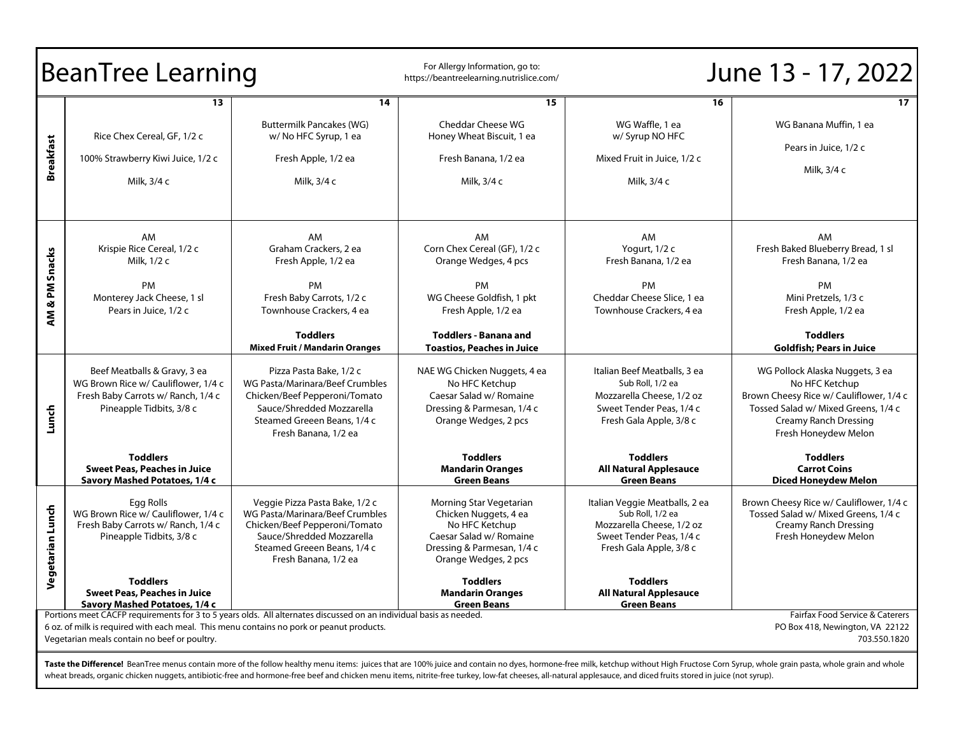|                                                                                                                                                                                                                                                                                                                                                                                                                                                    | <b>BeanTree Learning</b>                                                                                                              |                                                                                                                                                                                        | For Allergy Information, go to:<br>https://beantreelearning.nutrislice.com/                                                                         |                                                                                                                                        | June 13 - 17, 2022                                                                                                                                                                          |
|----------------------------------------------------------------------------------------------------------------------------------------------------------------------------------------------------------------------------------------------------------------------------------------------------------------------------------------------------------------------------------------------------------------------------------------------------|---------------------------------------------------------------------------------------------------------------------------------------|----------------------------------------------------------------------------------------------------------------------------------------------------------------------------------------|-----------------------------------------------------------------------------------------------------------------------------------------------------|----------------------------------------------------------------------------------------------------------------------------------------|---------------------------------------------------------------------------------------------------------------------------------------------------------------------------------------------|
|                                                                                                                                                                                                                                                                                                                                                                                                                                                    | 13.                                                                                                                                   | 14                                                                                                                                                                                     | 15                                                                                                                                                  | 16                                                                                                                                     | 17 <sup>7</sup>                                                                                                                                                                             |
|                                                                                                                                                                                                                                                                                                                                                                                                                                                    | Rice Chex Cereal, GF, 1/2 c                                                                                                           | <b>Buttermilk Pancakes (WG)</b><br>w/No HFC Syrup, 1 ea                                                                                                                                | <b>Cheddar Cheese WG</b><br>Honey Wheat Biscuit, 1 ea                                                                                               | WG Waffle, 1 ea<br>w/ Syrup NO HFC                                                                                                     | WG Banana Muffin, 1 ea                                                                                                                                                                      |
| <b>Breakfast</b>                                                                                                                                                                                                                                                                                                                                                                                                                                   | 100% Strawberry Kiwi Juice, 1/2 c                                                                                                     | Fresh Apple, 1/2 ea                                                                                                                                                                    | Fresh Banana, 1/2 ea                                                                                                                                | Mixed Fruit in Juice, 1/2 c                                                                                                            | Pears in Juice, 1/2 c<br>Milk, 3/4 c                                                                                                                                                        |
|                                                                                                                                                                                                                                                                                                                                                                                                                                                    | Milk, 3/4 c                                                                                                                           | Milk, 3/4 c                                                                                                                                                                            | Milk, 3/4 c                                                                                                                                         | Milk, 3/4 c                                                                                                                            |                                                                                                                                                                                             |
|                                                                                                                                                                                                                                                                                                                                                                                                                                                    | AM<br>Krispie Rice Cereal, 1/2 c<br>Milk, 1/2 c                                                                                       | AM<br>Graham Crackers, 2 ea<br>Fresh Apple, 1/2 ea                                                                                                                                     | AM<br>Corn Chex Cereal (GF), 1/2 c<br>Orange Wedges, 4 pcs                                                                                          | AM<br>Yogurt, 1/2 c<br>Fresh Banana, 1/2 ea                                                                                            | AM.<br>Fresh Baked Blueberry Bread, 1 sl<br>Fresh Banana, 1/2 ea                                                                                                                            |
| AM & PM Snacks                                                                                                                                                                                                                                                                                                                                                                                                                                     | PM<br>Monterey Jack Cheese, 1 sl<br>Pears in Juice, 1/2 c                                                                             | <b>PM</b><br>Fresh Baby Carrots, 1/2 c<br>Townhouse Crackers, 4 ea                                                                                                                     | <b>PM</b><br>WG Cheese Goldfish, 1 pkt<br>Fresh Apple, 1/2 ea                                                                                       | <b>PM</b><br>Cheddar Cheese Slice, 1 ea<br>Townhouse Crackers, 4 ea                                                                    | PM<br>Mini Pretzels, 1/3 c<br>Fresh Apple, 1/2 ea                                                                                                                                           |
|                                                                                                                                                                                                                                                                                                                                                                                                                                                    |                                                                                                                                       | <b>Toddlers</b><br><b>Mixed Fruit / Mandarin Oranges</b>                                                                                                                               | <b>Toddlers - Banana and</b><br><b>Toastios, Peaches in Juice</b>                                                                                   |                                                                                                                                        | <b>Toddlers</b><br><b>Goldfish; Pears in Juice</b>                                                                                                                                          |
| Lunch                                                                                                                                                                                                                                                                                                                                                                                                                                              | Beef Meatballs & Gravy, 3 ea<br>WG Brown Rice w/ Cauliflower, 1/4 c<br>Fresh Baby Carrots w/ Ranch, 1/4 c<br>Pineapple Tidbits, 3/8 c | Pizza Pasta Bake, 1/2 c<br>WG Pasta/Marinara/Beef Crumbles<br>Chicken/Beef Pepperoni/Tomato<br>Sauce/Shredded Mozzarella<br>Steamed Greeen Beans, 1/4 c<br>Fresh Banana, 1/2 ea        | NAE WG Chicken Nuggets, 4 ea<br>No HFC Ketchup<br>Caesar Salad w/ Romaine<br>Dressing & Parmesan, 1/4 c<br>Orange Wedges, 2 pcs                     | Italian Beef Meatballs, 3 ea<br>Sub Roll, 1/2 ea<br>Mozzarella Cheese, 1/2 oz<br>Sweet Tender Peas, 1/4 c<br>Fresh Gala Apple, 3/8 c   | WG Pollock Alaska Nuggets, 3 ea<br>No HFC Ketchup<br>Brown Cheesy Rice w/ Cauliflower, 1/4 c<br>Tossed Salad w/ Mixed Greens, 1/4 c<br><b>Creamy Ranch Dressing</b><br>Fresh Honeydew Melon |
|                                                                                                                                                                                                                                                                                                                                                                                                                                                    | <b>Toddlers</b><br><b>Sweet Peas, Peaches in Juice</b><br>Savory Mashed Potatoes, 1/4 c                                               |                                                                                                                                                                                        | <b>Toddlers</b><br><b>Mandarin Oranges</b><br><b>Green Beans</b>                                                                                    | <b>Toddlers</b><br><b>All Natural Applesauce</b><br><b>Green Beans</b>                                                                 | <b>Toddlers</b><br><b>Carrot Coins</b><br><b>Diced Honeydew Melon</b>                                                                                                                       |
| Vegetarian Lunch                                                                                                                                                                                                                                                                                                                                                                                                                                   | Egg Rolls<br>WG Brown Rice w/ Cauliflower, 1/4 c<br>Fresh Baby Carrots w/ Ranch, 1/4 c<br>Pineapple Tidbits, 3/8 c                    | Veggie Pizza Pasta Bake, 1/2 c<br>WG Pasta/Marinara/Beef Crumbles<br>Chicken/Beef Pepperoni/Tomato<br>Sauce/Shredded Mozzarella<br>Steamed Greeen Beans, 1/4 c<br>Fresh Banana, 1/2 ea | Morning Star Vegetarian<br>Chicken Nuggets, 4 ea<br>No HFC Ketchup<br>Caesar Salad w/ Romaine<br>Dressing & Parmesan, 1/4 c<br>Orange Wedges, 2 pcs | Italian Veggie Meatballs, 2 ea<br>Sub Roll, 1/2 ea<br>Mozzarella Cheese, 1/2 oz<br>Sweet Tender Peas, 1/4 c<br>Fresh Gala Apple, 3/8 c | Brown Cheesy Rice w/ Cauliflower, 1/4 c<br>Tossed Salad w/ Mixed Greens, 1/4 c<br><b>Creamy Ranch Dressing</b><br>Fresh Honeydew Melon                                                      |
|                                                                                                                                                                                                                                                                                                                                                                                                                                                    | <b>Toddlers</b><br>Sweet Peas, Peaches in Juice<br>Savory Mashed Potatoes, 1/4 c                                                      |                                                                                                                                                                                        | <b>Toddlers</b><br>Mandarın Oranges<br><b>Green Beans</b>                                                                                           | <b>Toddlers</b><br><b>All Natural Applesauce</b><br><b>Green Beans</b>                                                                 |                                                                                                                                                                                             |
| Portions meet CACFP requirements for 3 to 5 years olds. All alternates discussed on an individual basis as needed.<br>Fairfax Food Service & Caterers<br>6 oz. of milk is required with each meal. This menu contains no pork or peanut products.<br>PO Box 418, Newington, VA 22122<br>Vegetarian meals contain no beef or poultry.<br>703.550.1820                                                                                               |                                                                                                                                       |                                                                                                                                                                                        |                                                                                                                                                     |                                                                                                                                        |                                                                                                                                                                                             |
| Taste the Difference! BeanTree menus contain more of the follow healthy menu items: juices that are 100% juice and contain no dyes, hormone-free milk, ketchup without High Fructose Corn Syrup, whole grain pasta, whole grai<br>wheat breads, organic chicken nuggets, antibiotic-free and hormone-free beef and chicken menu items, nitrite-free turkey, low-fat cheeses, all-natural applesauce, and diced fruits stored in juice (not syrup). |                                                                                                                                       |                                                                                                                                                                                        |                                                                                                                                                     |                                                                                                                                        |                                                                                                                                                                                             |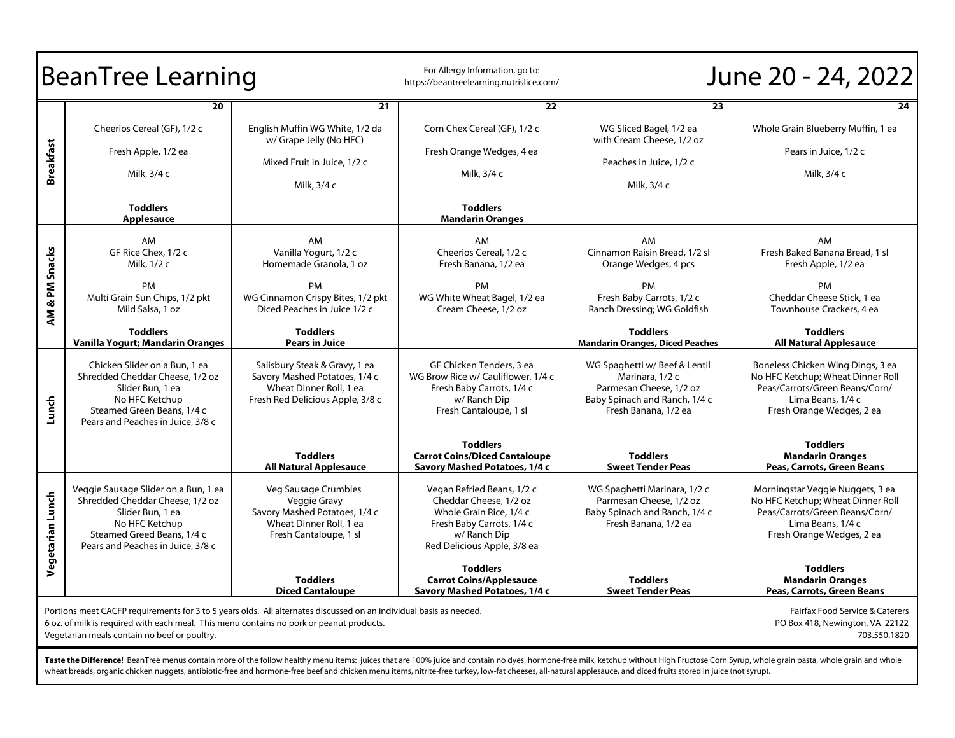| <b>BeanTree Learning</b>                                                                                                                                                                                                                                                                                                                                                                                                                                                   |                                                                                                                                                                                  | For Allergy Information, go to:<br>https://beantreelearning.nutrislice.com/                                                                                                    | June 20 - 24, 2022                                                                                                                                                                                                                               |                                                                                                                                                                                            |                                                                                                                                                                                                                                       |
|----------------------------------------------------------------------------------------------------------------------------------------------------------------------------------------------------------------------------------------------------------------------------------------------------------------------------------------------------------------------------------------------------------------------------------------------------------------------------|----------------------------------------------------------------------------------------------------------------------------------------------------------------------------------|--------------------------------------------------------------------------------------------------------------------------------------------------------------------------------|--------------------------------------------------------------------------------------------------------------------------------------------------------------------------------------------------------------------------------------------------|--------------------------------------------------------------------------------------------------------------------------------------------------------------------------------------------|---------------------------------------------------------------------------------------------------------------------------------------------------------------------------------------------------------------------------------------|
| <b>Breakfast</b>                                                                                                                                                                                                                                                                                                                                                                                                                                                           | 20<br>Cheerios Cereal (GF), 1/2 c<br>Fresh Apple, 1/2 ea<br>Milk, 3/4 c<br><b>Toddlers</b><br><b>Applesauce</b>                                                                  | 21<br>English Muffin WG White, 1/2 da<br>w/ Grape Jelly (No HFC)<br>Mixed Fruit in Juice, 1/2 c<br>Milk, 3/4 c                                                                 | 22<br>Corn Chex Cereal (GF), 1/2 c<br>Fresh Orange Wedges, 4 ea<br>Milk, 3/4 c<br><b>Toddlers</b><br><b>Mandarin Oranges</b>                                                                                                                     | 23<br>WG Sliced Bagel, 1/2 ea<br>with Cream Cheese, 1/2 oz<br>Peaches in Juice, 1/2 c<br>Milk, 3/4 c                                                                                       | 24<br>Whole Grain Blueberry Muffin, 1 ea<br>Pears in Juice, 1/2 c<br>Milk, 3/4 c                                                                                                                                                      |
| & PM Snacks<br>ξ                                                                                                                                                                                                                                                                                                                                                                                                                                                           | AM<br>GF Rice Chex, 1/2 c<br>Milk, 1/2 c<br><b>PM</b><br>Multi Grain Sun Chips, 1/2 pkt<br>Mild Salsa, 1 oz<br><b>Toddlers</b><br>Vanilla Yogurt; Mandarin Oranges               | AM<br>Vanilla Yogurt, 1/2 c<br>Homemade Granola, 1 oz<br>PM<br>WG Cinnamon Crispy Bites, 1/2 pkt<br>Diced Peaches in Juice 1/2 c<br><b>Toddlers</b><br><b>Pears in Juice</b>   | AM<br>Cheerios Cereal, 1/2 c<br>Fresh Banana, 1/2 ea<br><b>PM</b><br>WG White Wheat Bagel, 1/2 ea<br>Cream Cheese, 1/2 oz                                                                                                                        | AM<br>Cinnamon Raisin Bread, 1/2 sl<br>Orange Wedges, 4 pcs<br>PM<br>Fresh Baby Carrots, 1/2 c<br>Ranch Dressing; WG Goldfish<br><b>Toddlers</b><br><b>Mandarin Oranges, Diced Peaches</b> | AM<br>Fresh Baked Banana Bread, 1 sl<br>Fresh Apple, 1/2 ea<br>PM<br>Cheddar Cheese Stick, 1 ea<br>Townhouse Crackers, 4 ea<br><b>Toddlers</b><br><b>All Natural Applesauce</b>                                                       |
| Lunch                                                                                                                                                                                                                                                                                                                                                                                                                                                                      | Chicken Slider on a Bun, 1 ea<br>Shredded Cheddar Cheese, 1/2 oz<br>Slider Bun, 1 ea<br>No HFC Ketchup<br>Steamed Green Beans, 1/4 c<br>Pears and Peaches in Juice, 3/8 c        | Salisbury Steak & Gravy, 1 ea<br>Savory Mashed Potatoes, 1/4 c<br>Wheat Dinner Roll, 1 ea<br>Fresh Red Delicious Apple, 3/8 c<br><b>Toddlers</b>                               | GF Chicken Tenders, 3 ea<br>WG Brow Rice w/ Cauliflower, 1/4 c<br>Fresh Baby Carrots, 1/4 c<br>w/Ranch Dip<br>Fresh Cantaloupe, 1 sl<br><b>Toddlers</b><br><b>Carrot Coins/Diced Cantaloupe</b>                                                  | WG Spaghetti w/Beef & Lentil<br>Marinara, 1/2 c<br>Parmesan Cheese, 1/2 oz<br>Baby Spinach and Ranch, 1/4 c<br>Fresh Banana, 1/2 ea<br><b>Toddlers</b>                                     | Boneless Chicken Wing Dings, 3 ea<br>No HFC Ketchup; Wheat Dinner Roll<br>Peas/Carrots/Green Beans/Corn/<br>Lima Beans, 1/4 c<br>Fresh Orange Wedges, 2 ea<br><b>Toddlers</b><br><b>Mandarin Oranges</b>                              |
| Vegetarian Lunch                                                                                                                                                                                                                                                                                                                                                                                                                                                           | Veggie Sausage Slider on a Bun, 1 ea<br>Shredded Cheddar Cheese, 1/2 oz<br>Slider Bun, 1 ea<br>No HFC Ketchup<br>Steamed Greed Beans, 1/4 c<br>Pears and Peaches in Juice, 3/8 c | <b>All Natural Applesauce</b><br>Veg Sausage Crumbles<br>Veggie Gravy<br>Savory Mashed Potatoes, 1/4 c<br>Wheat Dinner Roll, 1 ea<br>Fresh Cantaloupe, 1 sl<br><b>Toddlers</b> | Savory Mashed Potatoes, 1/4 c<br>Vegan Refried Beans, 1/2 c<br>Cheddar Cheese, 1/2 oz<br>Whole Grain Rice, 1/4 c<br>Fresh Baby Carrots, 1/4 c<br>w/Ranch Dip<br>Red Delicious Apple, 3/8 ea<br><b>Toddlers</b><br><b>Carrot Coins/Applesauce</b> | <b>Sweet Tender Peas</b><br>WG Spaghetti Marinara, 1/2 c<br>Parmesan Cheese, 1/2 oz<br>Baby Spinach and Ranch, 1/4 c<br>Fresh Banana, 1/2 ea<br><b>Toddlers</b>                            | Peas, Carrots, Green Beans<br>Morningstar Veggie Nuggets, 3 ea<br>No HFC Ketchup; Wheat Dinner Roll<br>Peas/Carrots/Green Beans/Corn/<br>Lima Beans, 1/4 c<br>Fresh Orange Wedges, 2 ea<br><b>Toddlers</b><br><b>Mandarin Oranges</b> |
| <b>Diced Cantaloupe</b><br>Savory Mashed Potatoes, 1/4 c<br><b>Sweet Tender Peas</b><br>Peas, Carrots, Green Beans<br>Portions meet CACFP requirements for 3 to 5 years olds. All alternates discussed on an individual basis as needed.<br>Fairfax Food Service & Caterers<br>6 oz. of milk is required with each meal. This menu contains no pork or peanut products.<br>PO Box 418, Newington, VA 22122<br>Vegetarian meals contain no beef or poultry.<br>703.550.1820 |                                                                                                                                                                                  |                                                                                                                                                                                |                                                                                                                                                                                                                                                  |                                                                                                                                                                                            |                                                                                                                                                                                                                                       |

**Taste the Difference!** BeanTree menus contain more of the follow healthy menu items: juices that are 100% juice and contain no dyes, hormone-free milk, ketchup without High Fructose Corn Syrup, whole grain pasta, whole gr wheat breads, organic chicken nuggets, antibiotic-free and hormone-free beef and chicken menu items, nitrite-free turkey, low-fat cheeses, all-natural applesauce, and diced fruits stored in juice (not syrup).